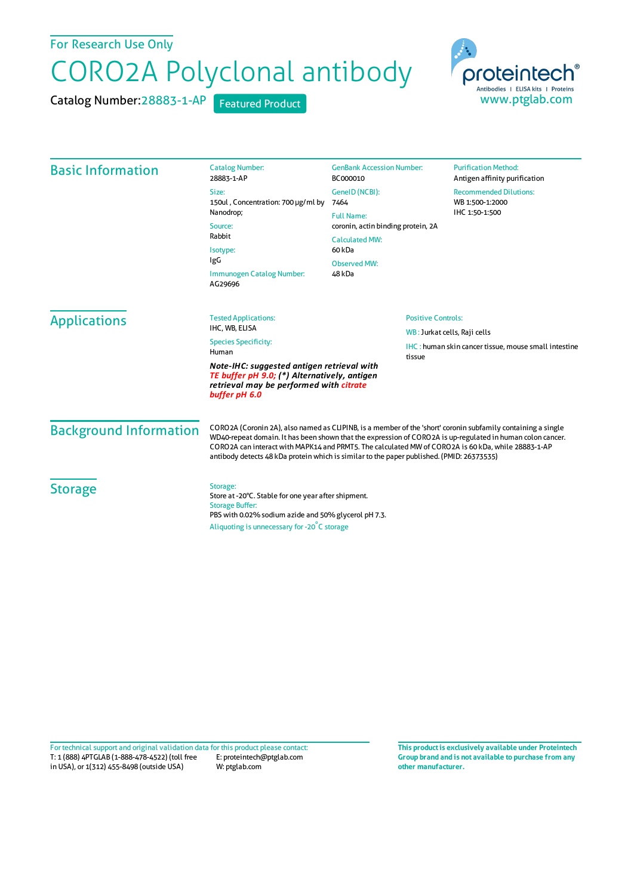For Research Use Only

## CORO2A Polyclonal antibody

Catalog Number: 28883-1-AP Featured Product



| <b>Basic Information</b>                                                                                                                               | <b>Catalog Number:</b>                                                                                                                                                                                                                                                                                                                                                                                                        | <b>GenBank Accession Number:</b>                                                            | <b>Purification Method:</b>   |                                                                                                        |                               |  |
|--------------------------------------------------------------------------------------------------------------------------------------------------------|-------------------------------------------------------------------------------------------------------------------------------------------------------------------------------------------------------------------------------------------------------------------------------------------------------------------------------------------------------------------------------------------------------------------------------|---------------------------------------------------------------------------------------------|-------------------------------|--------------------------------------------------------------------------------------------------------|-------------------------------|--|
|                                                                                                                                                        | 28883-1-AP                                                                                                                                                                                                                                                                                                                                                                                                                    | BC000010                                                                                    | Antigen affinity purification |                                                                                                        |                               |  |
|                                                                                                                                                        | Size:<br>150ul, Concentration: 700 µg/ml by<br>Nanodrop;<br>Source:<br>Rabbit                                                                                                                                                                                                                                                                                                                                                 | GeneID (NCBI):                                                                              | <b>Recommended Dilutions:</b> |                                                                                                        |                               |  |
|                                                                                                                                                        |                                                                                                                                                                                                                                                                                                                                                                                                                               | 7464                                                                                        | WB 1:500-1:2000               |                                                                                                        |                               |  |
|                                                                                                                                                        |                                                                                                                                                                                                                                                                                                                                                                                                                               | IHC 1:50-1:500<br><b>Full Name:</b><br>coronin, actin binding protein, 2A<br>Calculated MW: |                               |                                                                                                        |                               |  |
|                                                                                                                                                        |                                                                                                                                                                                                                                                                                                                                                                                                                               |                                                                                             |                               | Isotype:<br>IgG                                                                                        | 60 <sub>kDa</sub>             |  |
|                                                                                                                                                        |                                                                                                                                                                                                                                                                                                                                                                                                                               |                                                                                             |                               | Immunogen Catalog Number:<br>AG29696                                                                   | <b>Observed MW:</b><br>48 kDa |  |
|                                                                                                                                                        | <b>Applications</b>                                                                                                                                                                                                                                                                                                                                                                                                           | <b>Tested Applications:</b>                                                                 | <b>Positive Controls:</b>     |                                                                                                        |                               |  |
|                                                                                                                                                        |                                                                                                                                                                                                                                                                                                                                                                                                                               | IHC, WB, ELISA                                                                              |                               | WB: Jurkat cells, Raji cells<br><b>IHC</b> : human skin cancer tissue, mouse small intestine<br>tissue |                               |  |
| <b>Species Specificity:</b><br>Human                                                                                                                   |                                                                                                                                                                                                                                                                                                                                                                                                                               |                                                                                             |                               |                                                                                                        |                               |  |
| Note-IHC: suggested antigen retrieval with<br>TE buffer pH 9.0; (*) Alternatively, antigen<br>retrieval may be performed with citrate<br>buffer pH 6.0 |                                                                                                                                                                                                                                                                                                                                                                                                                               |                                                                                             |                               |                                                                                                        |                               |  |
| <b>Background Information</b>                                                                                                                          | CORO2A (Coronin 2A), also named as CLIPINB, is a member of the 'short' coronin subfamily containing a single<br>WD40-repeat domain. It has been shown that the expression of CORO2A is up-regulated in human colon cancer.<br>CORO2A can interact with MAPK14 and PRMT5. The calculated MW of CORO2A is 60 kDa, while 28883-1-AP<br>antibody detects 48 kDa protein which is similar to the paper published. (PMID: 26373535) |                                                                                             |                               |                                                                                                        |                               |  |
| <b>Storage</b>                                                                                                                                         | Storage:<br>Store at -20°C. Stable for one year after shipment.<br><b>Storage Buffer:</b><br>PBS with 0.02% sodium azide and 50% glycerol pH 7.3.<br>Aliquoting is unnecessary for -20°C storage                                                                                                                                                                                                                              |                                                                                             |                               |                                                                                                        |                               |  |

T: 1 (888) 4PTGLAB (1-888-478-4522) (toll free in USA), or 1(312) 455-8498 (outside USA) E: proteintech@ptglab.com W: ptglab.com Fortechnical support and original validation data forthis product please contact: **This productis exclusively available under Proteintech**

**Group brand and is not available to purchase from any other manufacturer.**